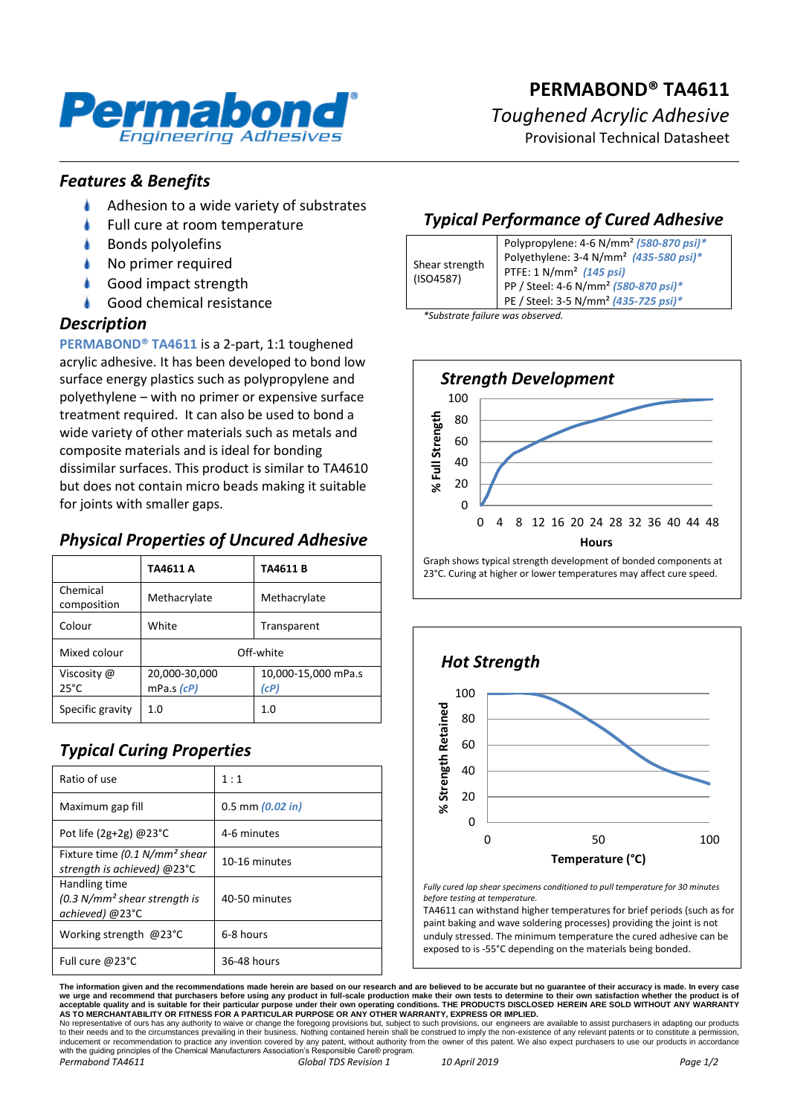

Provisional Technical Datasheet

### *Features & Benefits*

- ۸ Adhesion to a wide variety of substrates
- Full cure at room temperature
- Bonds polyolefins
- No primer required
- Good impact strength
- Good chemical resistance

### *Description*

**PERMABOND® TA4611** is a 2-part, 1:1 toughened acrylic adhesive. It has been developed to bond low surface energy plastics such as polypropylene and polyethylene – with no primer or expensive surface treatment required. It can also be used to bond a wide variety of other materials such as metals and composite materials and is ideal for bonding dissimilar surfaces. This product is similar to TA4610 but does not contain micro beads making it suitable for joints with smaller gaps.

# *Physical Properties of Uncured Adhesive*

|                               | TA4611 A                    | TA4611B                     |
|-------------------------------|-----------------------------|-----------------------------|
| Chemical<br>composition       | Methacrylate                | Methacrylate                |
| Colour                        | White                       | Transparent                 |
| Mixed colour                  | Off-white                   |                             |
| Viscosity @<br>$25^{\circ}$ C | 20,000-30,000<br>mPa.s (cP) | 10,000-15,000 mPa.s<br>(cP) |
| Specific gravity              | 1.0                         | 1.0                         |

# *Typical Curing Properties*

| Ratio of use                                                             | 1:1                  |
|--------------------------------------------------------------------------|----------------------|
| Maximum gap fill                                                         | $0.5$ mm $(0.02$ in) |
| Pot life (2g+2g) $@23^{\circ}$ C                                         | 4-6 minutes          |
| Fixture time (0.1 N/mm <sup>2</sup> shear<br>strength is achieved) @23°C | 10-16 minutes        |
| Handling time<br>$(0.3 N/mm2 shear strength is$<br>achieved) @23°C       | 40-50 minutes        |
| Working strength @23°C                                                   | 6-8 hours            |
| Full cure @23°C                                                          | 36-48 hours          |

# *Typical Performance of Cured Adhesive*

| Shear strength<br>(ISO4587) | Polypropylene: 4-6 N/mm <sup>2</sup> (580-870 psi)* |
|-----------------------------|-----------------------------------------------------|
|                             | Polyethylene: 3-4 N/mm <sup>2</sup> (435-580 psi)*  |
|                             | PTFE: 1 N/mm <sup>2</sup> (145 psi)                 |
|                             | PP / Steel: 4-6 N/mm <sup>2</sup> (580-870 psi)*    |
|                             | PE / Steel: 3-5 N/mm <sup>2</sup> (435-725 psi)*    |
| __                          |                                                     |

*\*Substrate failure was observed.*



23°C. Curing at higher or lower temperatures may affect cure speed.



*Fully cured lap shear specimens conditioned to pull temperature for 30 minutes before testing at temperature.*

TA4611 can withstand higher temperatures for brief periods (such as for paint baking and wave soldering processes) providing the joint is not unduly stressed. The minimum temperature the cured adhesive can be exposed to is -55°C depending on the materials being bonded.

The information given and the recommendations made herein are based on our research and are believed to be accurate but no guarantee of their accuracy is made. In every case<br>we urge and recommend that purchasers before usi

No representative of ours has any authority to waive or change the foregoing provisions but, subject to such provisions, our engineers are available to assist purchasers in adapting our products<br>to their needs and to the c *Permabond TA4611 Global TDS Revision 1 10 April 2019 Page 1/2*